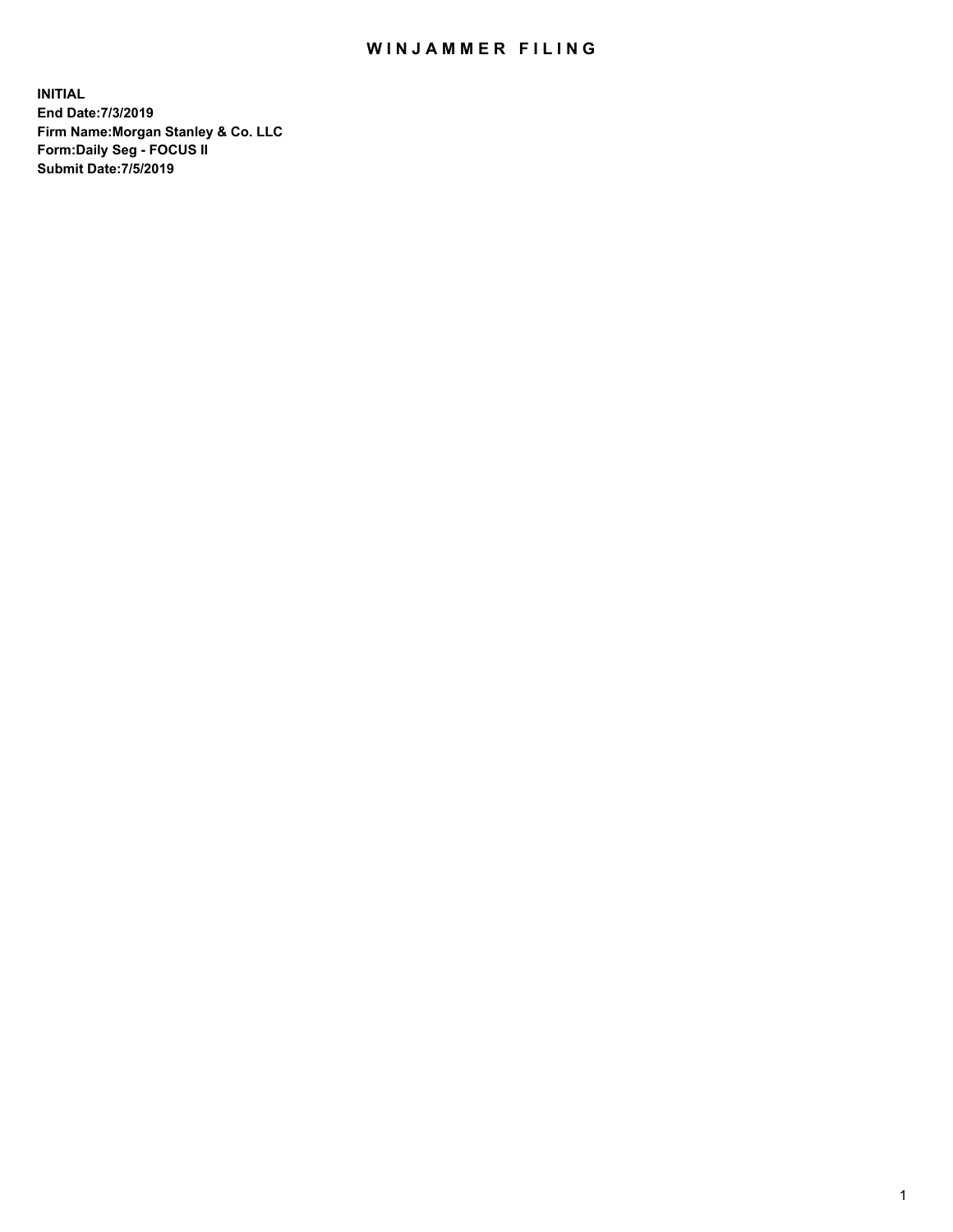## WIN JAMMER FILING

**INITIAL End Date:7/3/2019 Firm Name:Morgan Stanley & Co. LLC Form:Daily Seg - FOCUS II Submit Date:7/5/2019**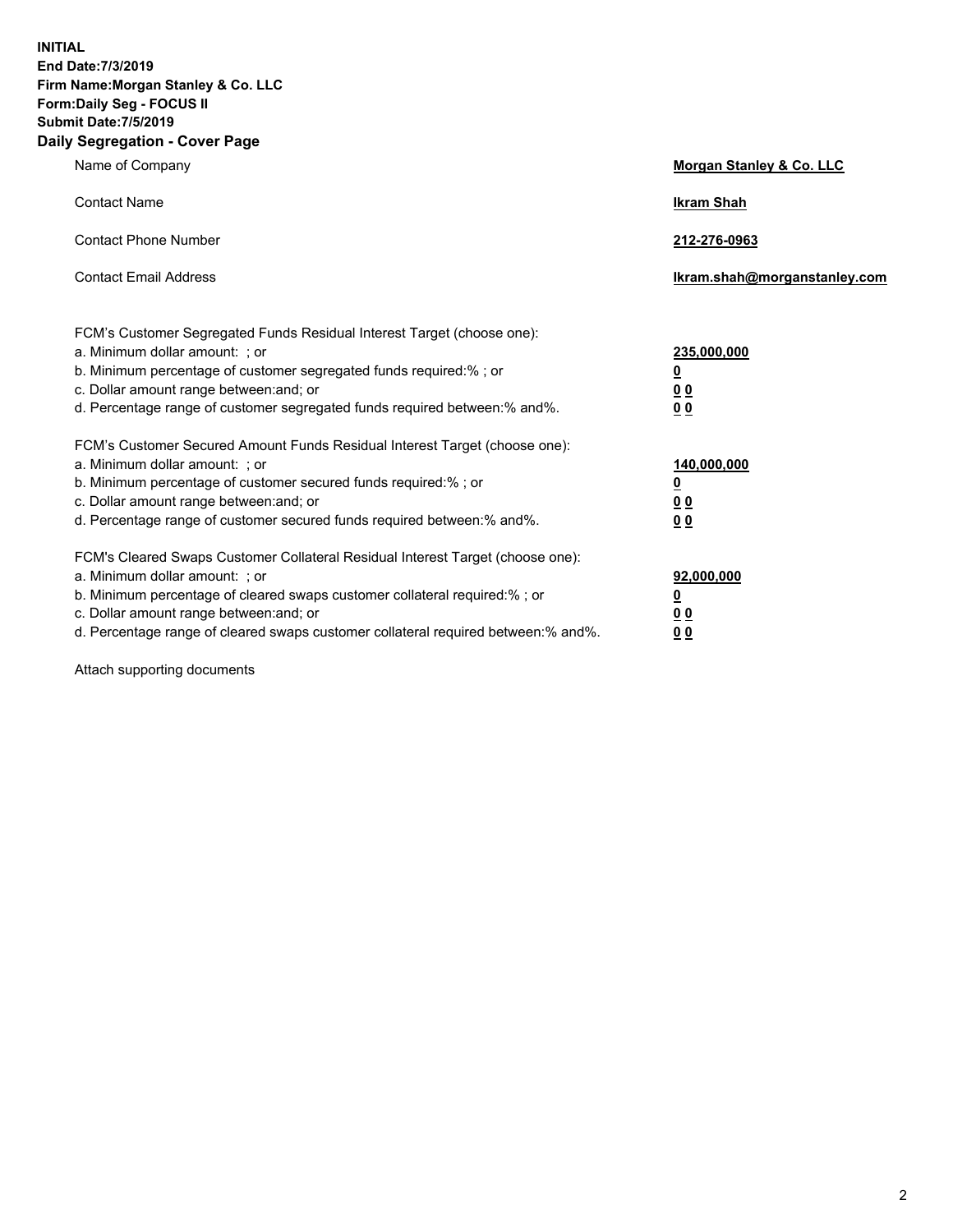**INITIAL End Date:7/3/2019 Firm Name:Morgan Stanley & Co. LLC Form:Daily Seg - FOCUS II Submit Date:7/5/2019 Daily Segregation - Cover Page**

| Name of Company                                                                                                                                                                                                                                                                                                                | Morgan Stanley & Co. LLC                                    |
|--------------------------------------------------------------------------------------------------------------------------------------------------------------------------------------------------------------------------------------------------------------------------------------------------------------------------------|-------------------------------------------------------------|
| <b>Contact Name</b>                                                                                                                                                                                                                                                                                                            | <b>Ikram Shah</b>                                           |
| <b>Contact Phone Number</b>                                                                                                                                                                                                                                                                                                    | 212-276-0963                                                |
| <b>Contact Email Address</b>                                                                                                                                                                                                                                                                                                   | Ikram.shah@morganstanley.com                                |
| FCM's Customer Segregated Funds Residual Interest Target (choose one):<br>a. Minimum dollar amount: ; or<br>b. Minimum percentage of customer segregated funds required:% ; or<br>c. Dollar amount range between: and; or<br>d. Percentage range of customer segregated funds required between:% and%.                         | 235,000,000<br><u>0</u><br>0 <sup>0</sup><br>00             |
| FCM's Customer Secured Amount Funds Residual Interest Target (choose one):<br>a. Minimum dollar amount: ; or<br>b. Minimum percentage of customer secured funds required:%; or<br>c. Dollar amount range between: and; or<br>d. Percentage range of customer secured funds required between:% and%.                            | 140,000,000<br><u>0</u><br>0 <sub>0</sub><br>0 <sub>0</sub> |
| FCM's Cleared Swaps Customer Collateral Residual Interest Target (choose one):<br>a. Minimum dollar amount: ; or<br>b. Minimum percentage of cleared swaps customer collateral required:% ; or<br>c. Dollar amount range between: and; or<br>d. Percentage range of cleared swaps customer collateral required between:% and%. | 92,000,000<br><u>0</u><br><u>00</u><br>00                   |

Attach supporting documents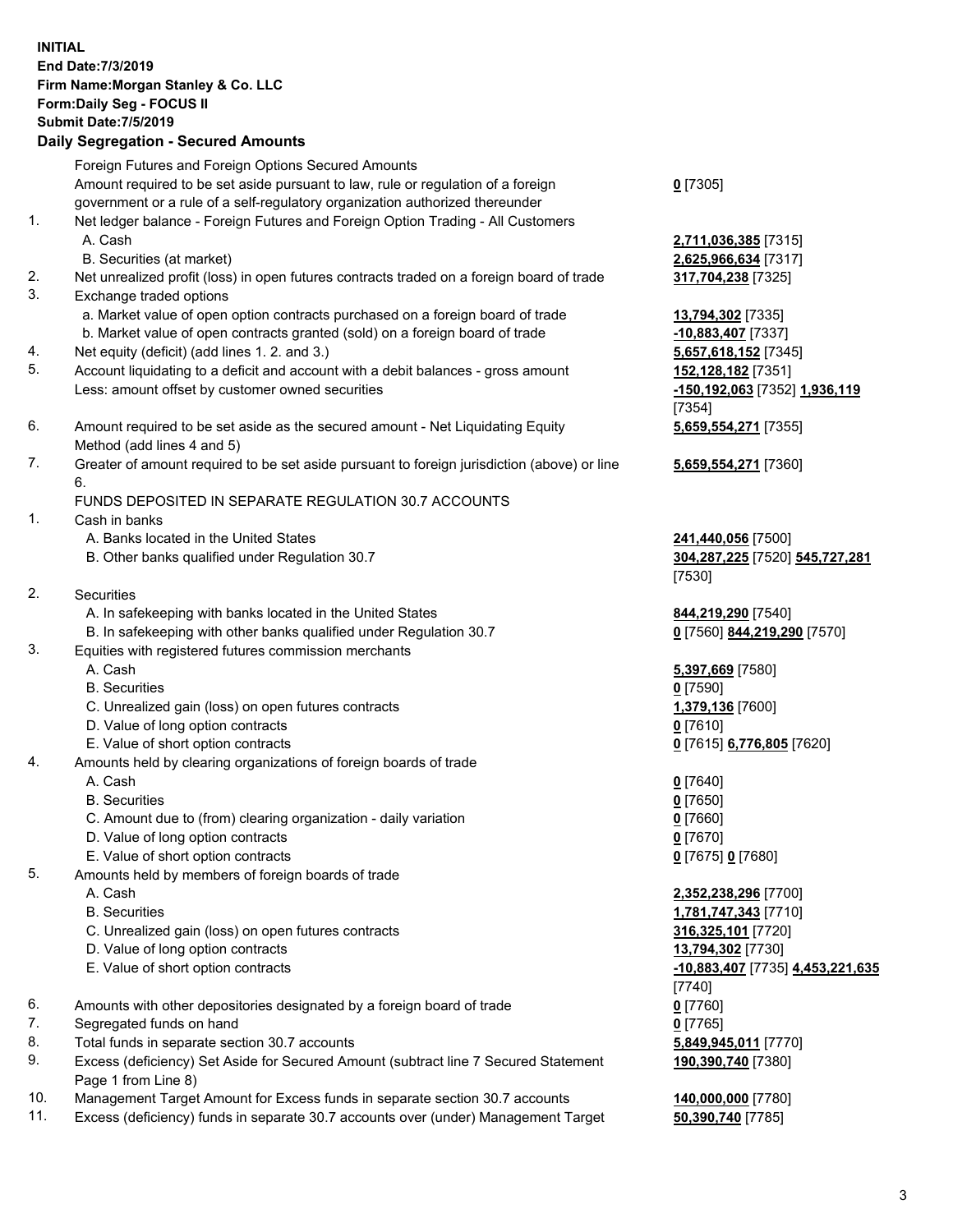|          | <b>INITIAL</b><br>End Date: 7/3/2019<br>Firm Name: Morgan Stanley & Co. LLC<br>Form: Daily Seg - FOCUS II<br><b>Submit Date: 7/5/2019</b><br><b>Daily Segregation - Secured Amounts</b> |                                            |
|----------|-----------------------------------------------------------------------------------------------------------------------------------------------------------------------------------------|--------------------------------------------|
|          | Foreign Futures and Foreign Options Secured Amounts                                                                                                                                     |                                            |
|          | Amount required to be set aside pursuant to law, rule or regulation of a foreign                                                                                                        | $0$ [7305]                                 |
| 1.       | government or a rule of a self-regulatory organization authorized thereunder<br>Net ledger balance - Foreign Futures and Foreign Option Trading - All Customers                         |                                            |
|          | A. Cash                                                                                                                                                                                 | 2,711,036,385 [7315]                       |
|          | B. Securities (at market)                                                                                                                                                               | 2,625,966,634 [7317]                       |
| 2.       | Net unrealized profit (loss) in open futures contracts traded on a foreign board of trade                                                                                               | 317,704,238 [7325]                         |
| 3.       | Exchange traded options                                                                                                                                                                 |                                            |
|          | a. Market value of open option contracts purchased on a foreign board of trade                                                                                                          | 13,794,302 [7335]                          |
|          | b. Market value of open contracts granted (sold) on a foreign board of trade                                                                                                            | -10,883,407 [7337]                         |
| 4.<br>5. | Net equity (deficit) (add lines 1.2. and 3.)<br>Account liquidating to a deficit and account with a debit balances - gross amount                                                       | 5,657,618,152 [7345]<br>152,128,182 [7351] |
|          | Less: amount offset by customer owned securities                                                                                                                                        | -150,192,063 [7352] 1,936,119              |
|          |                                                                                                                                                                                         | [7354]                                     |
| 6.       | Amount required to be set aside as the secured amount - Net Liquidating Equity<br>Method (add lines 4 and 5)                                                                            | 5,659,554,271 [7355]                       |
| 7.       | Greater of amount required to be set aside pursuant to foreign jurisdiction (above) or line                                                                                             | 5,659,554,271 [7360]                       |
|          | 6.                                                                                                                                                                                      |                                            |
|          | FUNDS DEPOSITED IN SEPARATE REGULATION 30.7 ACCOUNTS                                                                                                                                    |                                            |
| 1.       | Cash in banks<br>A. Banks located in the United States                                                                                                                                  | 241,440,056 [7500]                         |
|          | B. Other banks qualified under Regulation 30.7                                                                                                                                          | 304,287,225 [7520] 545,727,281<br>[7530]   |
| 2.       | Securities                                                                                                                                                                              |                                            |
|          | A. In safekeeping with banks located in the United States                                                                                                                               | 844,219,290 [7540]                         |
|          | B. In safekeeping with other banks qualified under Regulation 30.7                                                                                                                      | 0 [7560] 844,219,290 [7570]                |
| 3.       | Equities with registered futures commission merchants                                                                                                                                   |                                            |
|          | A. Cash<br><b>B.</b> Securities                                                                                                                                                         | 5,397,669 [7580]<br>$0$ [7590]             |
|          | C. Unrealized gain (loss) on open futures contracts                                                                                                                                     | 1,379,136 [7600]                           |
|          | D. Value of long option contracts                                                                                                                                                       | $0$ [7610]                                 |
|          | E. Value of short option contracts                                                                                                                                                      | 0 [7615] 6,776,805 [7620]                  |
| 4.       | Amounts held by clearing organizations of foreign boards of trade                                                                                                                       |                                            |
|          | A. Cash                                                                                                                                                                                 | $0$ [7640]                                 |
|          | <b>B.</b> Securities                                                                                                                                                                    | $0$ [7650]                                 |
|          | C. Amount due to (from) clearing organization - daily variation<br>D. Value of long option contracts                                                                                    | $0$ [7660]<br>$0$ [7670]                   |
|          | E. Value of short option contracts                                                                                                                                                      | 0 [7675] 0 [7680]                          |
| 5.       | Amounts held by members of foreign boards of trade                                                                                                                                      |                                            |
|          | A. Cash                                                                                                                                                                                 | 2,352,238,296 [7700]                       |
|          | <b>B.</b> Securities                                                                                                                                                                    | 1,781,747,343 [7710]                       |
|          | C. Unrealized gain (loss) on open futures contracts                                                                                                                                     | 316,325,101 [7720]                         |
|          | D. Value of long option contracts                                                                                                                                                       | 13,794,302 [7730]                          |
|          | E. Value of short option contracts                                                                                                                                                      | -10,883,407 [7735] 4,453,221,635           |
| 6.       | Amounts with other depositories designated by a foreign board of trade                                                                                                                  | $[7740]$<br>$0$ [7760]                     |
| 7.       | Segregated funds on hand                                                                                                                                                                | $0$ [7765]                                 |
| 8.       | Total funds in separate section 30.7 accounts                                                                                                                                           | 5,849,945,011 [7770]                       |
| 9.       | Excess (deficiency) Set Aside for Secured Amount (subtract line 7 Secured Statement<br>Page 1 from Line 8)                                                                              | 190,390,740 [7380]                         |
| 10.      | Management Target Amount for Excess funds in separate section 30.7 accounts                                                                                                             | 140,000,000 [7780]                         |

11. Excess (deficiency) funds in separate 30.7 accounts over (under) Management Target **50,390,740** [7785]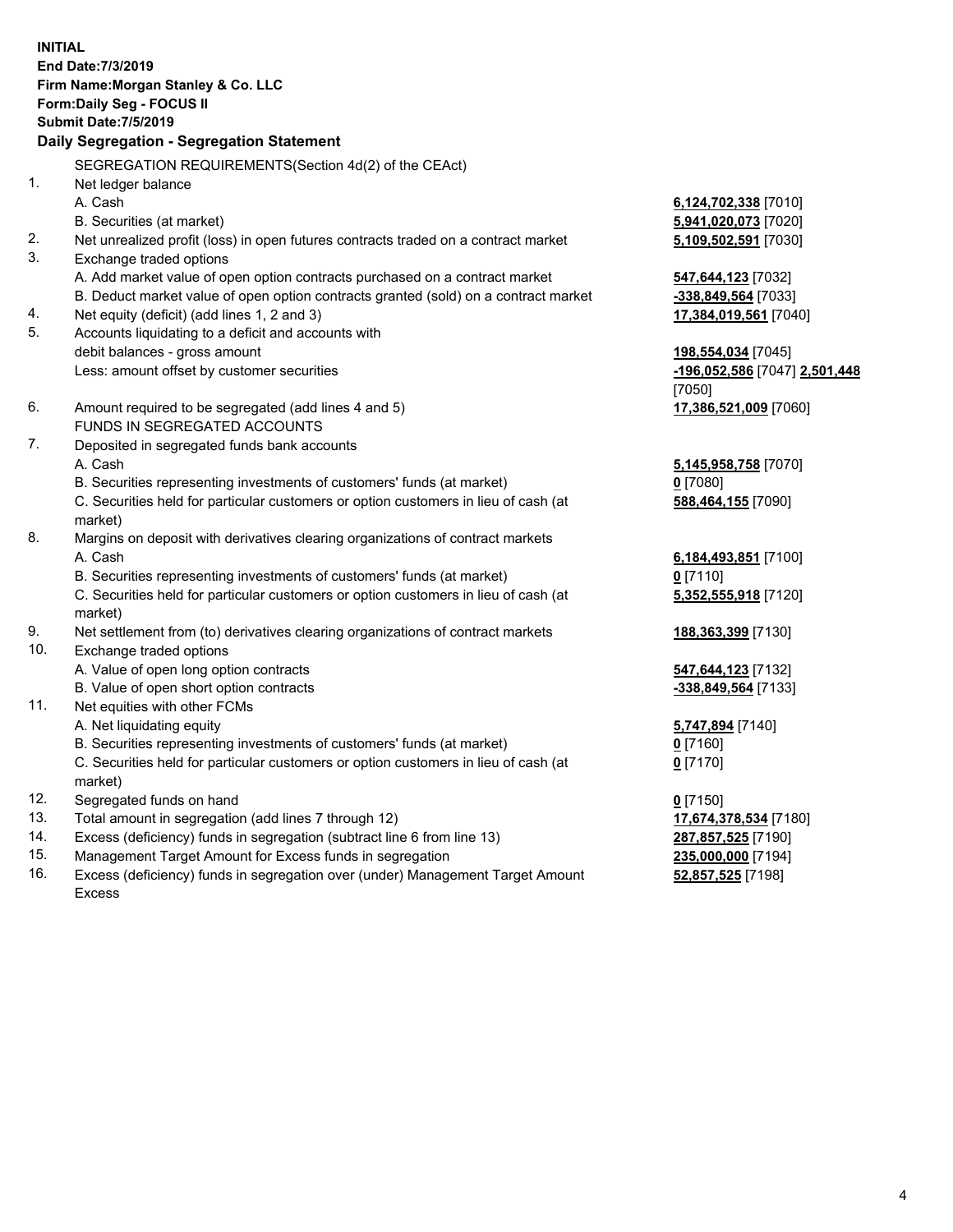**INITIAL End Date:7/3/2019 Firm Name:Morgan Stanley & Co. LLC Form:Daily Seg - FOCUS II Submit Date:7/5/2019 Daily Segregation - Segregation Statement** SEGREGATION REQUIREMENTS(Section 4d(2) of the CEAct) 1. Net ledger balance A. Cash **6,124,702,338** [7010] B. Securities (at market) **5,941,020,073** [7020] 2. Net unrealized profit (loss) in open futures contracts traded on a contract market **5,109,502,591** [7030] 3. Exchange traded options A. Add market value of open option contracts purchased on a contract market **547,644,123** [7032] B. Deduct market value of open option contracts granted (sold) on a contract market **-338,849,564** [7033] 4. Net equity (deficit) (add lines 1, 2 and 3) **17,384,019,561** [7040] 5. Accounts liquidating to a deficit and accounts with debit balances - gross amount **198,554,034** [7045] Less: amount offset by customer securities **-196,052,586** [7047] **2,501,448** [7050] 6. Amount required to be segregated (add lines 4 and 5) **17,386,521,009** [7060] FUNDS IN SEGREGATED ACCOUNTS 7. Deposited in segregated funds bank accounts A. Cash **5,145,958,758** [7070] B. Securities representing investments of customers' funds (at market) **0** [7080] C. Securities held for particular customers or option customers in lieu of cash (at market) **588,464,155** [7090] 8. Margins on deposit with derivatives clearing organizations of contract markets A. Cash **6,184,493,851** [7100] B. Securities representing investments of customers' funds (at market) **0** [7110] C. Securities held for particular customers or option customers in lieu of cash (at market) **5,352,555,918** [7120] 9. Net settlement from (to) derivatives clearing organizations of contract markets **188,363,399** [7130] 10. Exchange traded options A. Value of open long option contracts **547,644,123** [7132] B. Value of open short option contracts **-338,849,564** [7133] 11. Net equities with other FCMs A. Net liquidating equity **5,747,894** [7140] B. Securities representing investments of customers' funds (at market) **0** [7160] C. Securities held for particular customers or option customers in lieu of cash (at market) **0** [7170] 12. Segregated funds on hand **0** [7150] 13. Total amount in segregation (add lines 7 through 12) **17,674,378,534** [7180] 14. Excess (deficiency) funds in segregation (subtract line 6 from line 13) **287,857,525** [7190]

- 15. Management Target Amount for Excess funds in segregation **235,000,000** [7194]
- 16. Excess (deficiency) funds in segregation over (under) Management Target Amount Excess

**52,857,525** [7198]